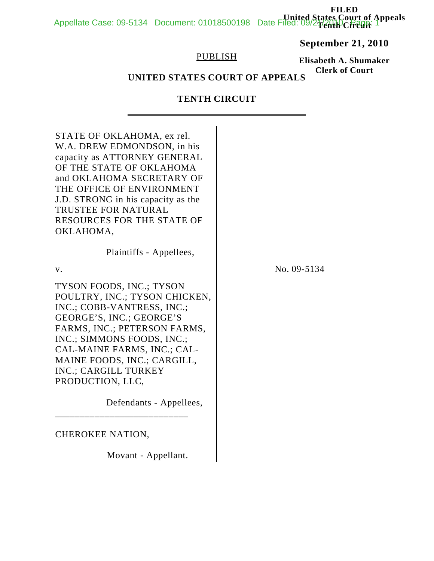**FILED United States Court of Appeals** Appellate Case: 09-5134 Document: 01018500198 Date Filed: 09/21/2010 Page: 1

# **September 21, 2010**

## PUBLISH

# **Elisabeth A. Shumaker Clerk of Court**

# **UNITED STATES COURT OF APPEALS**

# **TENTH CIRCUIT**

| STATE OF OKLAHOMA, ex rel.<br>W.A. DREW EDMONDSON, in his<br>capacity as ATTORNEY GENERAL<br>OF THE STATE OF OKLAHOMA<br>and OKLAHOMA SECRETARY OF<br>THE OFFICE OF ENVIRONMENT<br>J.D. STRONG in his capacity as the<br>TRUSTEE FOR NATURAL<br><b>RESOURCES FOR THE STATE OF</b><br>OKLAHOMA,                                |             |
|-------------------------------------------------------------------------------------------------------------------------------------------------------------------------------------------------------------------------------------------------------------------------------------------------------------------------------|-------------|
| Plaintiffs - Appellees,                                                                                                                                                                                                                                                                                                       |             |
| V.                                                                                                                                                                                                                                                                                                                            | No. 09-5134 |
| TYSON FOODS, INC.; TYSON<br>POULTRY, INC.; TYSON CHICKEN,<br>INC.; COBB-VANTRESS, INC.;<br>GEORGE'S, INC.; GEORGE'S<br>FARMS, INC.; PETERSON FARMS,<br>INC.; SIMMONS FOODS, INC.;<br>CAL-MAINE FARMS, INC.; CAL-<br>MAINE FOODS, INC.; CARGILL,<br><b>INC.: CARGILL TURKEY</b><br>PRODUCTION, LLC,<br>Defendants - Appellees, |             |
| <b>CHEROKEE NATION,</b>                                                                                                                                                                                                                                                                                                       |             |
| Movant - Appellant.                                                                                                                                                                                                                                                                                                           |             |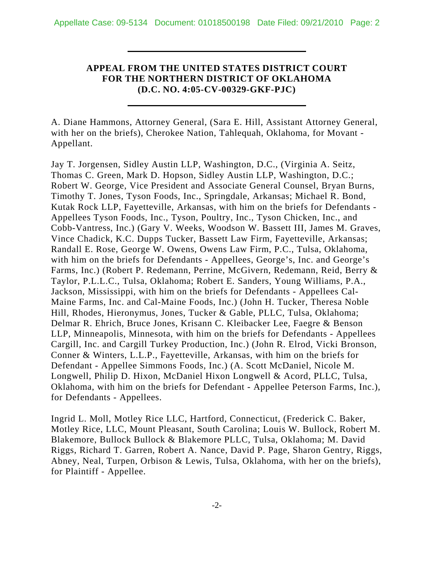## **APPEAL FROM THE UNITED STATES DISTRICT COURT FOR THE NORTHERN DISTRICT OF OKLAHOMA (D.C. NO. 4:05-CV-00329-GKF-PJC)**

A. Diane Hammons, Attorney General, (Sara E. Hill, Assistant Attorney General, with her on the briefs), Cherokee Nation, Tahlequah, Oklahoma, for Movant - Appellant.

Jay T. Jorgensen, Sidley Austin LLP, Washington, D.C., (Virginia A. Seitz, Thomas C. Green, Mark D. Hopson, Sidley Austin LLP, Washington, D.C.; Robert W. George, Vice President and Associate General Counsel, Bryan Burns, Timothy T. Jones, Tyson Foods, Inc., Springdale, Arkansas; Michael R. Bond, Kutak Rock LLP, Fayetteville, Arkansas, with him on the briefs for Defendants - Appellees Tyson Foods, Inc., Tyson, Poultry, Inc., Tyson Chicken, Inc., and Cobb-Vantress, Inc.) (Gary V. Weeks, Woodson W. Bassett III, James M. Graves, Vince Chadick, K.C. Dupps Tucker, Bassett Law Firm, Fayetteville, Arkansas; Randall E. Rose, George W. Owens, Owens Law Firm, P.C., Tulsa, Oklahoma, with him on the briefs for Defendants - Appellees, George's, Inc. and George's Farms, Inc.) (Robert P. Redemann, Perrine, McGivern, Redemann, Reid, Berry & Taylor, P.L.L.C., Tulsa, Oklahoma; Robert E. Sanders, Young Williams, P.A., Jackson, Mississippi, with him on the briefs for Defendants - Appellees Cal-Maine Farms, Inc. and Cal-Maine Foods, Inc.) (John H. Tucker, Theresa Noble Hill, Rhodes, Hieronymus, Jones, Tucker & Gable, PLLC, Tulsa, Oklahoma; Delmar R. Ehrich, Bruce Jones, Krisann C. Kleibacker Lee, Faegre & Benson LLP, Minneapolis, Minnesota, with him on the briefs for Defendants - Appellees Cargill, Inc. and Cargill Turkey Production, Inc.) (John R. Elrod, Vicki Bronson, Conner & Winters, L.L.P., Fayetteville, Arkansas, with him on the briefs for Defendant - Appellee Simmons Foods, Inc.) (A. Scott McDaniel, Nicole M. Longwell, Philip D. Hixon, McDaniel Hixon Longwell & Acord, PLLC, Tulsa, Oklahoma, with him on the briefs for Defendant - Appellee Peterson Farms, Inc.), for Defendants - Appellees.

Ingrid L. Moll, Motley Rice LLC, Hartford, Connecticut, (Frederick C. Baker, Motley Rice, LLC, Mount Pleasant, South Carolina; Louis W. Bullock, Robert M. Blakemore, Bullock Bullock & Blakemore PLLC, Tulsa, Oklahoma; M. David Riggs, Richard T. Garren, Robert A. Nance, David P. Page, Sharon Gentry, Riggs, Abney, Neal, Turpen, Orbison & Lewis, Tulsa, Oklahoma, with her on the briefs), for Plaintiff - Appellee.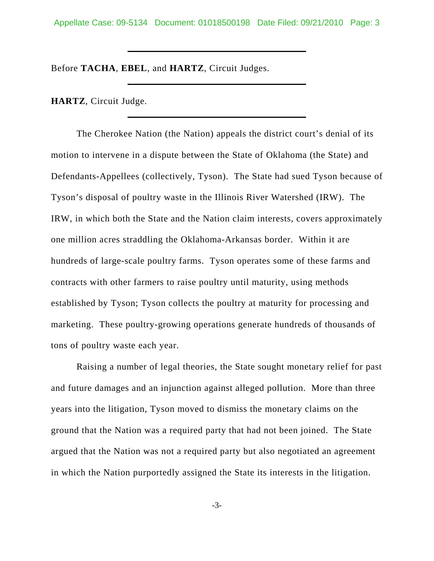Appellate Case: 09-5134 Document: 01018500198 Date Filed: 09/21/2010 Page: 3

Before **TACHA**, **EBEL**, and **HARTZ**, Circuit Judges.

**HARTZ**, Circuit Judge.

The Cherokee Nation (the Nation) appeals the district court's denial of its motion to intervene in a dispute between the State of Oklahoma (the State) and Defendants-Appellees (collectively, Tyson). The State had sued Tyson because of Tyson's disposal of poultry waste in the Illinois River Watershed (IRW). The IRW, in which both the State and the Nation claim interests, covers approximately one million acres straddling the Oklahoma-Arkansas border. Within it are hundreds of large-scale poultry farms. Tyson operates some of these farms and contracts with other farmers to raise poultry until maturity, using methods established by Tyson; Tyson collects the poultry at maturity for processing and marketing. These poultry-growing operations generate hundreds of thousands of tons of poultry waste each year.

Raising a number of legal theories, the State sought monetary relief for past and future damages and an injunction against alleged pollution. More than three years into the litigation, Tyson moved to dismiss the monetary claims on the ground that the Nation was a required party that had not been joined. The State argued that the Nation was not a required party but also negotiated an agreement in which the Nation purportedly assigned the State its interests in the litigation.

-3-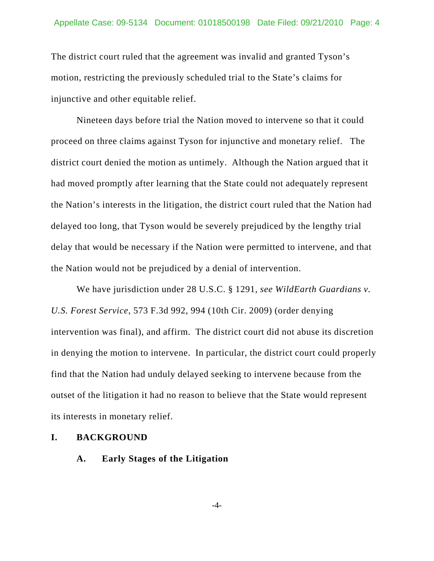The district court ruled that the agreement was invalid and granted Tyson's motion, restricting the previously scheduled trial to the State's claims for injunctive and other equitable relief.

Nineteen days before trial the Nation moved to intervene so that it could proceed on three claims against Tyson for injunctive and monetary relief. The district court denied the motion as untimely. Although the Nation argued that it had moved promptly after learning that the State could not adequately represent the Nation's interests in the litigation, the district court ruled that the Nation had delayed too long, that Tyson would be severely prejudiced by the lengthy trial delay that would be necessary if the Nation were permitted to intervene, and that the Nation would not be prejudiced by a denial of intervention.

We have jurisdiction under 28 U.S.C. § 1291, *see WildEarth Guardians v. U.S. Forest Service*, 573 F.3d 992, 994 (10th Cir. 2009) (order denying intervention was final), and affirm. The district court did not abuse its discretion in denying the motion to intervene. In particular, the district court could properly find that the Nation had unduly delayed seeking to intervene because from the outset of the litigation it had no reason to believe that the State would represent its interests in monetary relief.

### **I. BACKGROUND**

#### **A. Early Stages of the Litigation**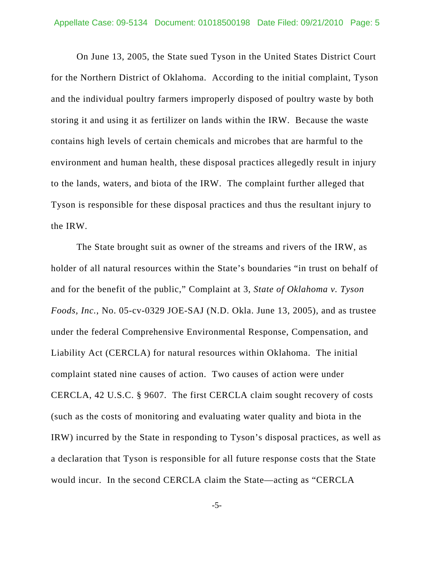On June 13, 2005, the State sued Tyson in the United States District Court for the Northern District of Oklahoma. According to the initial complaint, Tyson and the individual poultry farmers improperly disposed of poultry waste by both storing it and using it as fertilizer on lands within the IRW. Because the waste contains high levels of certain chemicals and microbes that are harmful to the environment and human health, these disposal practices allegedly result in injury to the lands, waters, and biota of the IRW. The complaint further alleged that Tyson is responsible for these disposal practices and thus the resultant injury to the IRW.

The State brought suit as owner of the streams and rivers of the IRW, as holder of all natural resources within the State's boundaries "in trust on behalf of and for the benefit of the public," Complaint at 3, *State of Oklahoma v. Tyson Foods, Inc.*, No. 05-cv-0329 JOE-SAJ (N.D. Okla. June 13, 2005), and as trustee under the federal Comprehensive Environmental Response, Compensation, and Liability Act (CERCLA) for natural resources within Oklahoma. The initial complaint stated nine causes of action. Two causes of action were under CERCLA, 42 U.S.C. § 9607. The first CERCLA claim sought recovery of costs (such as the costs of monitoring and evaluating water quality and biota in the IRW) incurred by the State in responding to Tyson's disposal practices, as well as a declaration that Tyson is responsible for all future response costs that the State would incur. In the second CERCLA claim the State—acting as "CERCLA

-5-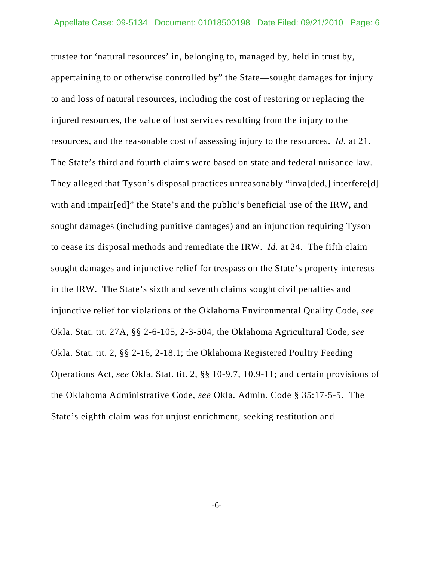trustee for 'natural resources' in, belonging to, managed by, held in trust by, appertaining to or otherwise controlled by" the State—sought damages for injury to and loss of natural resources, including the cost of restoring or replacing the injured resources, the value of lost services resulting from the injury to the resources, and the reasonable cost of assessing injury to the resources. *Id.* at 21. The State's third and fourth claims were based on state and federal nuisance law. They alleged that Tyson's disposal practices unreasonably "inva[ded,] interfere[d] with and impair[ed]" the State's and the public's beneficial use of the IRW, and sought damages (including punitive damages) and an injunction requiring Tyson to cease its disposal methods and remediate the IRW. *Id.* at 24. The fifth claim sought damages and injunctive relief for trespass on the State's property interests in the IRW. The State's sixth and seventh claims sought civil penalties and injunctive relief for violations of the Oklahoma Environmental Quality Code, *see* Okla. Stat. tit. 27A, §§ 2-6-105, 2-3-504; the Oklahoma Agricultural Code, *see* Okla. Stat. tit. 2, §§ 2-16, 2-18.1; the Oklahoma Registered Poultry Feeding Operations Act, *see* Okla. Stat. tit. 2, §§ 10-9.7, 10.9-11; and certain provisions of the Oklahoma Administrative Code, *see* Okla. Admin. Code § 35:17-5-5. The State's eighth claim was for unjust enrichment, seeking restitution and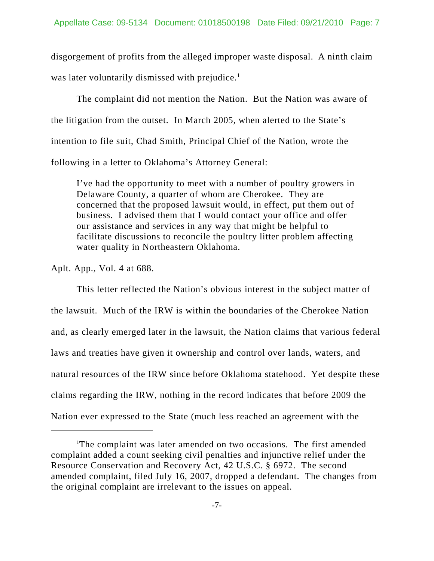disgorgement of profits from the alleged improper waste disposal. A ninth claim was later voluntarily dismissed with prejudice.<sup>1</sup>

The complaint did not mention the Nation. But the Nation was aware of the litigation from the outset. In March 2005, when alerted to the State's intention to file suit, Chad Smith, Principal Chief of the Nation, wrote the following in a letter to Oklahoma's Attorney General:

I've had the opportunity to meet with a number of poultry growers in Delaware County, a quarter of whom are Cherokee. They are concerned that the proposed lawsuit would, in effect, put them out of business. I advised them that I would contact your office and offer our assistance and services in any way that might be helpful to facilitate discussions to reconcile the poultry litter problem affecting water quality in Northeastern Oklahoma.

Aplt. App., Vol. 4 at 688.

This letter reflected the Nation's obvious interest in the subject matter of the lawsuit. Much of the IRW is within the boundaries of the Cherokee Nation and, as clearly emerged later in the lawsuit, the Nation claims that various federal laws and treaties have given it ownership and control over lands, waters, and natural resources of the IRW since before Oklahoma statehood. Yet despite these claims regarding the IRW, nothing in the record indicates that before 2009 the Nation ever expressed to the State (much less reached an agreement with the

<sup>&</sup>lt;sup>1</sup>The complaint was later amended on two occasions. The first amended complaint added a count seeking civil penalties and injunctive relief under the Resource Conservation and Recovery Act, 42 U.S.C. § 6972. The second amended complaint, filed July 16, 2007, dropped a defendant. The changes from the original complaint are irrelevant to the issues on appeal.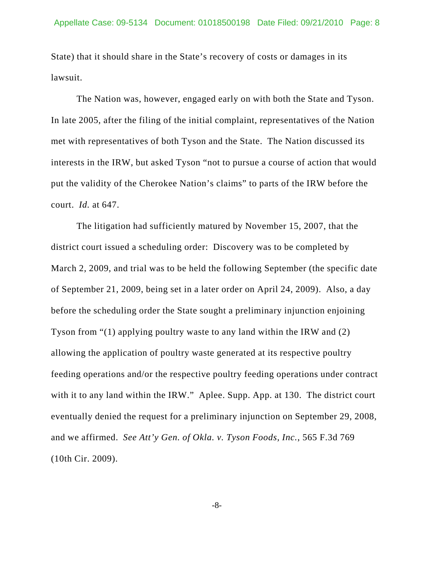State) that it should share in the State's recovery of costs or damages in its lawsuit.

The Nation was, however, engaged early on with both the State and Tyson. In late 2005, after the filing of the initial complaint, representatives of the Nation met with representatives of both Tyson and the State. The Nation discussed its interests in the IRW, but asked Tyson "not to pursue a course of action that would put the validity of the Cherokee Nation's claims" to parts of the IRW before the court. *Id.* at 647.

The litigation had sufficiently matured by November 15, 2007, that the district court issued a scheduling order: Discovery was to be completed by March 2, 2009, and trial was to be held the following September (the specific date of September 21, 2009, being set in a later order on April 24, 2009). Also, a day before the scheduling order the State sought a preliminary injunction enjoining Tyson from "(1) applying poultry waste to any land within the IRW and (2) allowing the application of poultry waste generated at its respective poultry feeding operations and/or the respective poultry feeding operations under contract with it to any land within the IRW." Aplee. Supp. App. at 130. The district court eventually denied the request for a preliminary injunction on September 29, 2008, and we affirmed. *See Att'y Gen. of Okla. v. Tyson Foods, Inc.*, 565 F.3d 769 (10th Cir. 2009).

-8-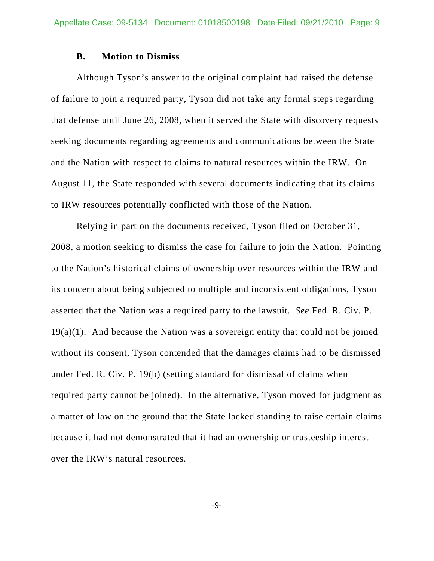#### **B. Motion to Dismiss**

Although Tyson's answer to the original complaint had raised the defense of failure to join a required party, Tyson did not take any formal steps regarding that defense until June 26, 2008, when it served the State with discovery requests seeking documents regarding agreements and communications between the State and the Nation with respect to claims to natural resources within the IRW. On August 11, the State responded with several documents indicating that its claims to IRW resources potentially conflicted with those of the Nation.

Relying in part on the documents received, Tyson filed on October 31, 2008, a motion seeking to dismiss the case for failure to join the Nation. Pointing to the Nation's historical claims of ownership over resources within the IRW and its concern about being subjected to multiple and inconsistent obligations, Tyson asserted that the Nation was a required party to the lawsuit. *See* Fed. R. Civ. P.  $19(a)(1)$ . And because the Nation was a sovereign entity that could not be joined without its consent, Tyson contended that the damages claims had to be dismissed under Fed. R. Civ. P. 19(b) (setting standard for dismissal of claims when required party cannot be joined). In the alternative, Tyson moved for judgment as a matter of law on the ground that the State lacked standing to raise certain claims because it had not demonstrated that it had an ownership or trusteeship interest over the IRW's natural resources.

-9-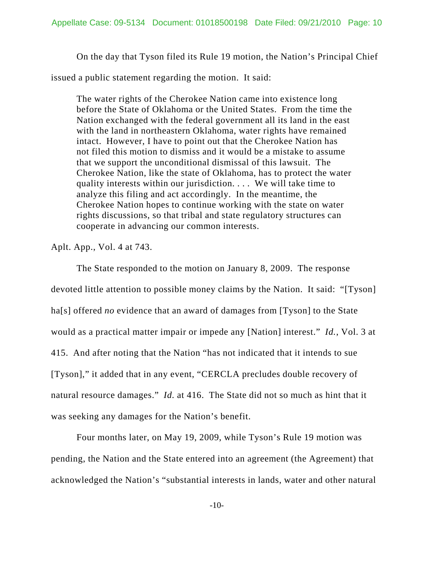On the day that Tyson filed its Rule 19 motion, the Nation's Principal Chief

issued a public statement regarding the motion. It said:

The water rights of the Cherokee Nation came into existence long before the State of Oklahoma or the United States. From the time the Nation exchanged with the federal government all its land in the east with the land in northeastern Oklahoma, water rights have remained intact. However, I have to point out that the Cherokee Nation has not filed this motion to dismiss and it would be a mistake to assume that we support the unconditional dismissal of this lawsuit. The Cherokee Nation, like the state of Oklahoma, has to protect the water quality interests within our jurisdiction. . . . We will take time to analyze this filing and act accordingly. In the meantime, the Cherokee Nation hopes to continue working with the state on water rights discussions, so that tribal and state regulatory structures can cooperate in advancing our common interests.

Aplt. App., Vol. 4 at 743.

The State responded to the motion on January 8, 2009. The response devoted little attention to possible money claims by the Nation. It said: "[Tyson] ha[s] offered *no* evidence that an award of damages from [Tyson] to the State would as a practical matter impair or impede any [Nation] interest." *Id.*, Vol. 3 at 415. And after noting that the Nation "has not indicated that it intends to sue [Tyson]," it added that in any event, "CERCLA precludes double recovery of natural resource damages." *Id.* at 416. The State did not so much as hint that it was seeking any damages for the Nation's benefit.

Four months later, on May 19, 2009, while Tyson's Rule 19 motion was pending, the Nation and the State entered into an agreement (the Agreement) that acknowledged the Nation's "substantial interests in lands, water and other natural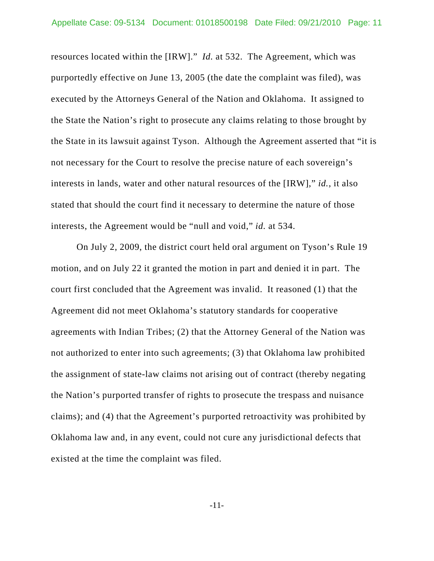resources located within the [IRW]." *Id.* at 532. The Agreement, which was purportedly effective on June 13, 2005 (the date the complaint was filed), was executed by the Attorneys General of the Nation and Oklahoma. It assigned to the State the Nation's right to prosecute any claims relating to those brought by the State in its lawsuit against Tyson. Although the Agreement asserted that "it is not necessary for the Court to resolve the precise nature of each sovereign's interests in lands, water and other natural resources of the [IRW]," *id.*, it also stated that should the court find it necessary to determine the nature of those interests, the Agreement would be "null and void," *id.* at 534.

On July 2, 2009, the district court held oral argument on Tyson's Rule 19 motion, and on July 22 it granted the motion in part and denied it in part. The court first concluded that the Agreement was invalid. It reasoned (1) that the Agreement did not meet Oklahoma's statutory standards for cooperative agreements with Indian Tribes; (2) that the Attorney General of the Nation was not authorized to enter into such agreements; (3) that Oklahoma law prohibited the assignment of state-law claims not arising out of contract (thereby negating the Nation's purported transfer of rights to prosecute the trespass and nuisance claims); and (4) that the Agreement's purported retroactivity was prohibited by Oklahoma law and, in any event, could not cure any jurisdictional defects that existed at the time the complaint was filed.

-11-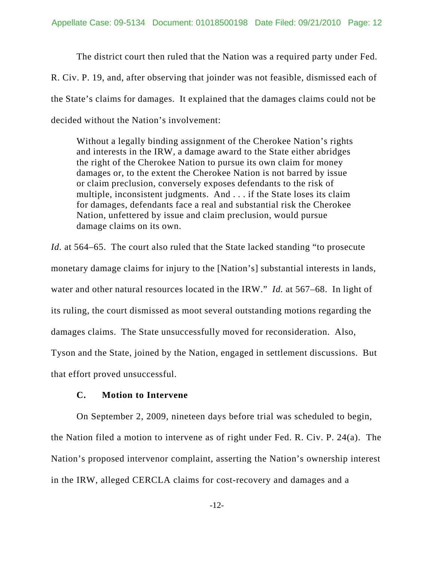The district court then ruled that the Nation was a required party under Fed. R. Civ. P. 19, and, after observing that joinder was not feasible, dismissed each of the State's claims for damages. It explained that the damages claims could not be decided without the Nation's involvement:

Without a legally binding assignment of the Cherokee Nation's rights and interests in the IRW, a damage award to the State either abridges the right of the Cherokee Nation to pursue its own claim for money damages or, to the extent the Cherokee Nation is not barred by issue or claim preclusion, conversely exposes defendants to the risk of multiple, inconsistent judgments. And . . . if the State loses its claim for damages, defendants face a real and substantial risk the Cherokee Nation, unfettered by issue and claim preclusion, would pursue damage claims on its own.

*Id.* at 564–65. The court also ruled that the State lacked standing "to prosecute monetary damage claims for injury to the [Nation's] substantial interests in lands, water and other natural resources located in the IRW." *Id.* at 567–68. In light of its ruling, the court dismissed as moot several outstanding motions regarding the damages claims. The State unsuccessfully moved for reconsideration. Also, Tyson and the State, joined by the Nation, engaged in settlement discussions. But that effort proved unsuccessful.

### **C. Motion to Intervene**

On September 2, 2009, nineteen days before trial was scheduled to begin, the Nation filed a motion to intervene as of right under Fed. R. Civ. P. 24(a). The Nation's proposed intervenor complaint, asserting the Nation's ownership interest in the IRW, alleged CERCLA claims for cost-recovery and damages and a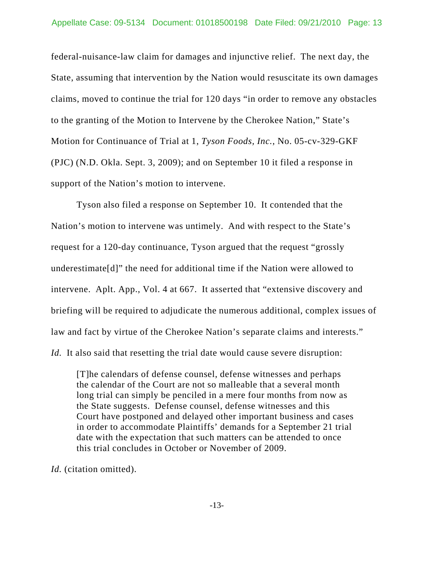federal-nuisance-law claim for damages and injunctive relief. The next day, the State, assuming that intervention by the Nation would resuscitate its own damages claims, moved to continue the trial for 120 days "in order to remove any obstacles to the granting of the Motion to Intervene by the Cherokee Nation," State's Motion for Continuance of Trial at 1, *Tyson Foods, Inc.*, No. 05-cv-329-GKF (PJC) (N.D. Okla. Sept. 3, 2009); and on September 10 it filed a response in support of the Nation's motion to intervene.

Tyson also filed a response on September 10. It contended that the Nation's motion to intervene was untimely. And with respect to the State's request for a 120-day continuance, Tyson argued that the request "grossly underestimate[d]" the need for additional time if the Nation were allowed to intervene. Aplt. App., Vol. 4 at 667. It asserted that "extensive discovery and briefing will be required to adjudicate the numerous additional, complex issues of law and fact by virtue of the Cherokee Nation's separate claims and interests." *Id.* It also said that resetting the trial date would cause severe disruption:

[T]he calendars of defense counsel, defense witnesses and perhaps the calendar of the Court are not so malleable that a several month long trial can simply be penciled in a mere four months from now as the State suggests. Defense counsel, defense witnesses and this Court have postponed and delayed other important business and cases in order to accommodate Plaintiffs' demands for a September 21 trial date with the expectation that such matters can be attended to once this trial concludes in October or November of 2009.

*Id.* (citation omitted).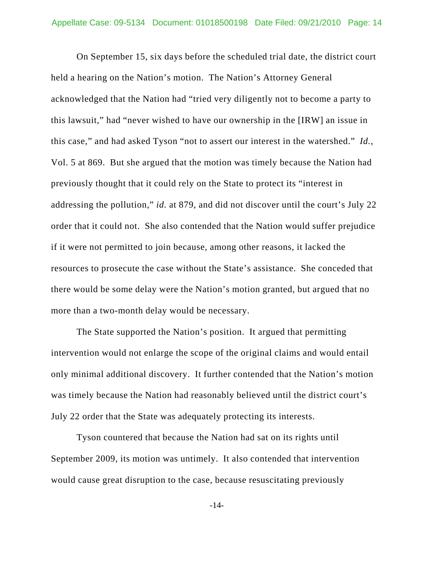On September 15, six days before the scheduled trial date, the district court held a hearing on the Nation's motion. The Nation's Attorney General acknowledged that the Nation had "tried very diligently not to become a party to this lawsuit," had "never wished to have our ownership in the [IRW] an issue in this case," and had asked Tyson "not to assert our interest in the watershed." *Id.*, Vol. 5 at 869. But she argued that the motion was timely because the Nation had previously thought that it could rely on the State to protect its "interest in addressing the pollution," *id.* at 879, and did not discover until the court's July 22 order that it could not. She also contended that the Nation would suffer prejudice if it were not permitted to join because, among other reasons, it lacked the resources to prosecute the case without the State's assistance. She conceded that there would be some delay were the Nation's motion granted, but argued that no more than a two-month delay would be necessary.

The State supported the Nation's position. It argued that permitting intervention would not enlarge the scope of the original claims and would entail only minimal additional discovery. It further contended that the Nation's motion was timely because the Nation had reasonably believed until the district court's July 22 order that the State was adequately protecting its interests.

Tyson countered that because the Nation had sat on its rights until September 2009, its motion was untimely. It also contended that intervention would cause great disruption to the case, because resuscitating previously

-14-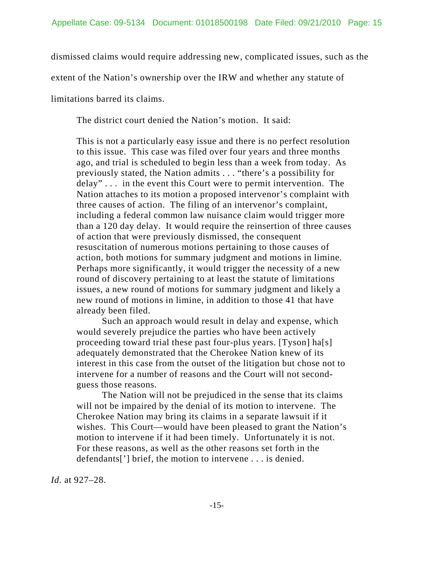dismissed claims would require addressing new, complicated issues, such as the

extent of the Nation's ownership over the IRW and whether any statute of

limitations barred its claims.

The district court denied the Nation's motion. It said:

This is not a particularly easy issue and there is no perfect resolution to this issue. This case was filed over four years and three months ago, and trial is scheduled to begin less than a week from today. As previously stated, the Nation admits . . . "there's a possibility for delay" . . . in the event this Court were to permit intervention. The Nation attaches to its motion a proposed intervenor's complaint with three causes of action. The filing of an intervenor's complaint, including a federal common law nuisance claim would trigger more than a 120 day delay. It would require the reinsertion of three causes of action that were previously dismissed, the consequent resuscitation of numerous motions pertaining to those causes of action, both motions for summary judgment and motions in limine. Perhaps more significantly, it would trigger the necessity of a new round of discovery pertaining to at least the statute of limitations issues, a new round of motions for summary judgment and likely a new round of motions in limine, in addition to those 41 that have already been filed.

Such an approach would result in delay and expense, which would severely prejudice the parties who have been actively proceeding toward trial these past four-plus years. [Tyson] ha[s] adequately demonstrated that the Cherokee Nation knew of its interest in this case from the outset of the litigation but chose not to intervene for a number of reasons and the Court will not secondguess those reasons.

The Nation will not be prejudiced in the sense that its claims will not be impaired by the denial of its motion to intervene. The Cherokee Nation may bring its claims in a separate lawsuit if it wishes. This Court—would have been pleased to grant the Nation's motion to intervene if it had been timely. Unfortunately it is not. For these reasons, as well as the other reasons set forth in the defendants['] brief, the motion to intervene . . . is denied.

*Id.* at 927–28.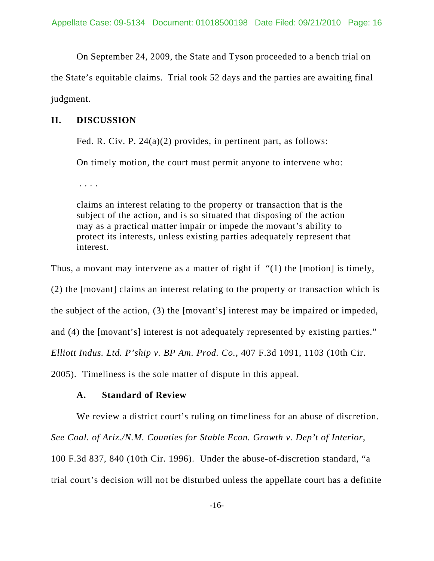On September 24, 2009, the State and Tyson proceeded to a bench trial on

the State's equitable claims. Trial took 52 days and the parties are awaiting final judgment.

## **II. DISCUSSION**

Fed. R. Civ. P. 24(a)(2) provides, in pertinent part, as follows:

On timely motion, the court must permit anyone to intervene who:

. . . .

claims an interest relating to the property or transaction that is the subject of the action, and is so situated that disposing of the action may as a practical matter impair or impede the movant's ability to protect its interests, unless existing parties adequately represent that interest.

Thus, a movant may intervene as a matter of right if "(1) the [motion] is timely,

(2) the [movant] claims an interest relating to the property or transaction which is

the subject of the action, (3) the [movant's] interest may be impaired or impeded,

and (4) the [movant's] interest is not adequately represented by existing parties."

*Elliott Indus. Ltd. P'ship v. BP Am. Prod. Co.*, 407 F.3d 1091, 1103 (10th Cir.

2005). Timeliness is the sole matter of dispute in this appeal.

## **A. Standard of Review**

We review a district court's ruling on timeliness for an abuse of discretion.

*See Coal. of Ariz./N.M. Counties for Stable Econ. Growth v. Dep't of Interior*,

100 F.3d 837, 840 (10th Cir. 1996). Under the abuse-of-discretion standard, "a

trial court's decision will not be disturbed unless the appellate court has a definite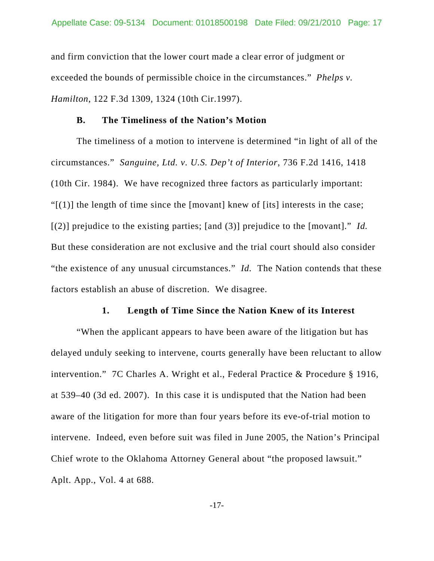and firm conviction that the lower court made a clear error of judgment or exceeded the bounds of permissible choice in the circumstances." *Phelps v. Hamilton*, 122 F.3d 1309, 1324 (10th Cir.1997).

### **B. The Timeliness of the Nation's Motion**

The timeliness of a motion to intervene is determined "in light of all of the circumstances." *Sanguine, Ltd. v. U.S. Dep't of Interior*, 736 F.2d 1416, 1418 (10th Cir. 1984). We have recognized three factors as particularly important: " $[1]$  the length of time since the [movant] knew of [its] interests in the case; [(2)] prejudice to the existing parties; [and (3)] prejudice to the [movant]." *Id.*  But these consideration are not exclusive and the trial court should also consider "the existence of any unusual circumstances." *Id.* The Nation contends that these factors establish an abuse of discretion. We disagree.

#### **1. Length of Time Since the Nation Knew of its Interest**

"When the applicant appears to have been aware of the litigation but has delayed unduly seeking to intervene, courts generally have been reluctant to allow intervention." 7C Charles A. Wright et al., Federal Practice & Procedure § 1916, at 539–40 (3d ed. 2007). In this case it is undisputed that the Nation had been aware of the litigation for more than four years before its eve-of-trial motion to intervene. Indeed, even before suit was filed in June 2005, the Nation's Principal Chief wrote to the Oklahoma Attorney General about "the proposed lawsuit." Aplt. App., Vol. 4 at 688.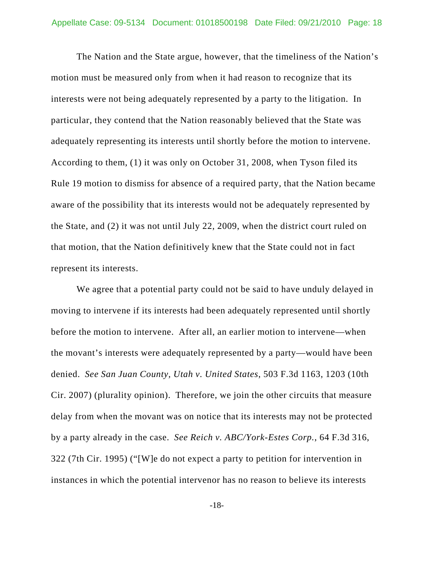The Nation and the State argue, however, that the timeliness of the Nation's motion must be measured only from when it had reason to recognize that its interests were not being adequately represented by a party to the litigation. In particular, they contend that the Nation reasonably believed that the State was adequately representing its interests until shortly before the motion to intervene. According to them, (1) it was only on October 31, 2008, when Tyson filed its Rule 19 motion to dismiss for absence of a required party, that the Nation became aware of the possibility that its interests would not be adequately represented by the State, and (2) it was not until July 22, 2009, when the district court ruled on that motion, that the Nation definitively knew that the State could not in fact represent its interests.

We agree that a potential party could not be said to have unduly delayed in moving to intervene if its interests had been adequately represented until shortly before the motion to intervene. After all, an earlier motion to intervene—when the movant's interests were adequately represented by a party—would have been denied. *See San Juan County, Utah v. United States*, 503 F.3d 1163, 1203 (10th Cir. 2007) (plurality opinion). Therefore, we join the other circuits that measure delay from when the movant was on notice that its interests may not be protected by a party already in the case. *See Reich v. ABC/York-Estes Corp.*, 64 F.3d 316, 322 (7th Cir. 1995) ("[W]e do not expect a party to petition for intervention in instances in which the potential intervenor has no reason to believe its interests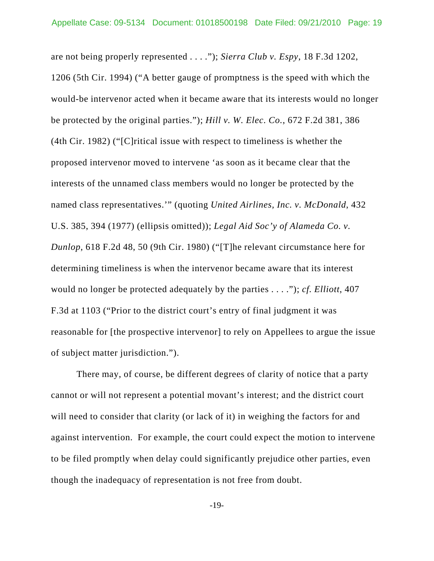are not being properly represented . . . ."); *Sierra Club v. Espy*, 18 F.3d 1202, 1206 (5th Cir. 1994) ("A better gauge of promptness is the speed with which the would-be intervenor acted when it became aware that its interests would no longer be protected by the original parties."); *Hill v. W. Elec. Co.*, 672 F.2d 381, 386 (4th Cir. 1982) ("[C]ritical issue with respect to timeliness is whether the proposed intervenor moved to intervene 'as soon as it became clear that the interests of the unnamed class members would no longer be protected by the named class representatives.'" (quoting *United Airlines, Inc. v. McDonald*, 432 U.S. 385, 394 (1977) (ellipsis omitted)); *Legal Aid Soc'y of Alameda Co. v. Dunlop*, 618 F.2d 48, 50 (9th Cir. 1980) ("[T]he relevant circumstance here for determining timeliness is when the intervenor became aware that its interest would no longer be protected adequately by the parties . . . ."); *cf. Elliott*, 407 F.3d at 1103 ("Prior to the district court's entry of final judgment it was reasonable for [the prospective intervenor] to rely on Appellees to argue the issue of subject matter jurisdiction.").

There may, of course, be different degrees of clarity of notice that a party cannot or will not represent a potential movant's interest; and the district court will need to consider that clarity (or lack of it) in weighing the factors for and against intervention. For example, the court could expect the motion to intervene to be filed promptly when delay could significantly prejudice other parties, even though the inadequacy of representation is not free from doubt.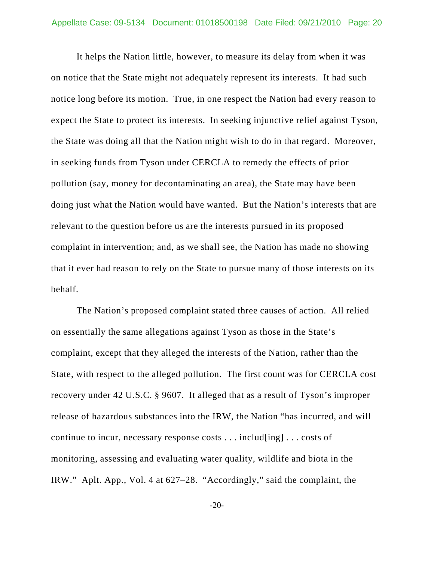It helps the Nation little, however, to measure its delay from when it was on notice that the State might not adequately represent its interests. It had such notice long before its motion. True, in one respect the Nation had every reason to expect the State to protect its interests. In seeking injunctive relief against Tyson, the State was doing all that the Nation might wish to do in that regard. Moreover, in seeking funds from Tyson under CERCLA to remedy the effects of prior pollution (say, money for decontaminating an area), the State may have been doing just what the Nation would have wanted. But the Nation's interests that are relevant to the question before us are the interests pursued in its proposed complaint in intervention; and, as we shall see, the Nation has made no showing that it ever had reason to rely on the State to pursue many of those interests on its behalf.

The Nation's proposed complaint stated three causes of action. All relied on essentially the same allegations against Tyson as those in the State's complaint, except that they alleged the interests of the Nation, rather than the State, with respect to the alleged pollution. The first count was for CERCLA cost recovery under 42 U.S.C. § 9607. It alleged that as a result of Tyson's improper release of hazardous substances into the IRW, the Nation "has incurred, and will continue to incur, necessary response costs . . . includ[ing] . . . costs of monitoring, assessing and evaluating water quality, wildlife and biota in the IRW." Aplt. App., Vol. 4 at 627–28. "Accordingly," said the complaint, the

-20-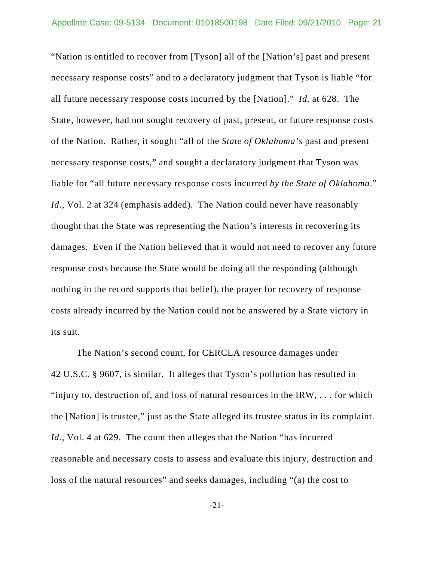"Nation is entitled to recover from [Tyson] all of the [Nation's] past and present necessary response costs" and to a declaratory judgment that Tyson is liable "for all future necessary response costs incurred by the [Nation]." *Id.* at 628. The State, however, had not sought recovery of past, present, or future response costs of the Nation. Rather, it sought "all of the *State of Oklahoma's* past and present necessary response costs," and sought a declaratory judgment that Tyson was liable for "all future necessary response costs incurred *by the State of Oklahoma*." *Id.*, Vol. 2 at 324 (emphasis added). The Nation could never have reasonably thought that the State was representing the Nation's interests in recovering its damages. Even if the Nation believed that it would not need to recover any future response costs because the State would be doing all the responding (although nothing in the record supports that belief), the prayer for recovery of response costs already incurred by the Nation could not be answered by a State victory in its suit.

The Nation's second count, for CERCLA resource damages under 42 U.S.C. § 9607, is similar. It alleges that Tyson's pollution has resulted in "injury to, destruction of, and loss of natural resources in the IRW, . . . for which the [Nation] is trustee," just as the State alleged its trustee status in its complaint. *Id.*, Vol. 4 at 629. The count then alleges that the Nation "has incurred reasonable and necessary costs to assess and evaluate this injury, destruction and loss of the natural resources" and seeks damages, including "(a) the cost to

-21-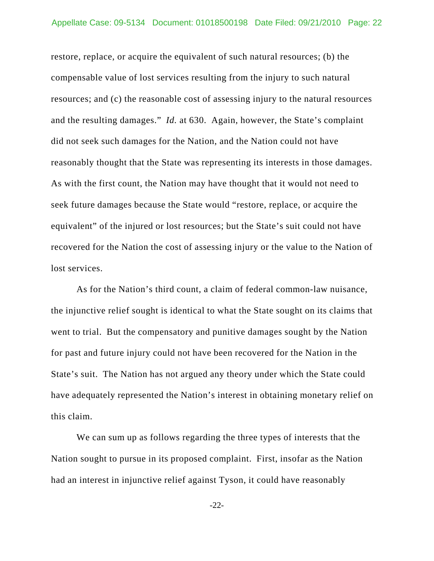restore, replace, or acquire the equivalent of such natural resources; (b) the compensable value of lost services resulting from the injury to such natural resources; and (c) the reasonable cost of assessing injury to the natural resources and the resulting damages." *Id.* at 630. Again, however, the State's complaint did not seek such damages for the Nation, and the Nation could not have reasonably thought that the State was representing its interests in those damages. As with the first count, the Nation may have thought that it would not need to seek future damages because the State would "restore, replace, or acquire the equivalent" of the injured or lost resources; but the State's suit could not have recovered for the Nation the cost of assessing injury or the value to the Nation of lost services.

As for the Nation's third count, a claim of federal common-law nuisance, the injunctive relief sought is identical to what the State sought on its claims that went to trial. But the compensatory and punitive damages sought by the Nation for past and future injury could not have been recovered for the Nation in the State's suit. The Nation has not argued any theory under which the State could have adequately represented the Nation's interest in obtaining monetary relief on this claim.

We can sum up as follows regarding the three types of interests that the Nation sought to pursue in its proposed complaint. First, insofar as the Nation had an interest in injunctive relief against Tyson, it could have reasonably

-22-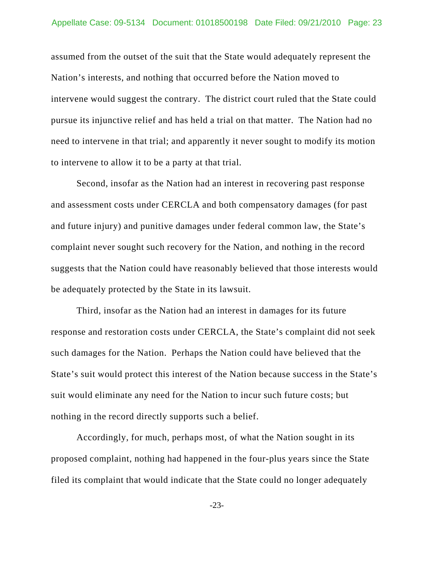assumed from the outset of the suit that the State would adequately represent the Nation's interests, and nothing that occurred before the Nation moved to intervene would suggest the contrary. The district court ruled that the State could pursue its injunctive relief and has held a trial on that matter. The Nation had no need to intervene in that trial; and apparently it never sought to modify its motion to intervene to allow it to be a party at that trial.

Second, insofar as the Nation had an interest in recovering past response and assessment costs under CERCLA and both compensatory damages (for past and future injury) and punitive damages under federal common law, the State's complaint never sought such recovery for the Nation, and nothing in the record suggests that the Nation could have reasonably believed that those interests would be adequately protected by the State in its lawsuit.

Third, insofar as the Nation had an interest in damages for its future response and restoration costs under CERCLA, the State's complaint did not seek such damages for the Nation. Perhaps the Nation could have believed that the State's suit would protect this interest of the Nation because success in the State's suit would eliminate any need for the Nation to incur such future costs; but nothing in the record directly supports such a belief.

Accordingly, for much, perhaps most, of what the Nation sought in its proposed complaint, nothing had happened in the four-plus years since the State filed its complaint that would indicate that the State could no longer adequately

-23-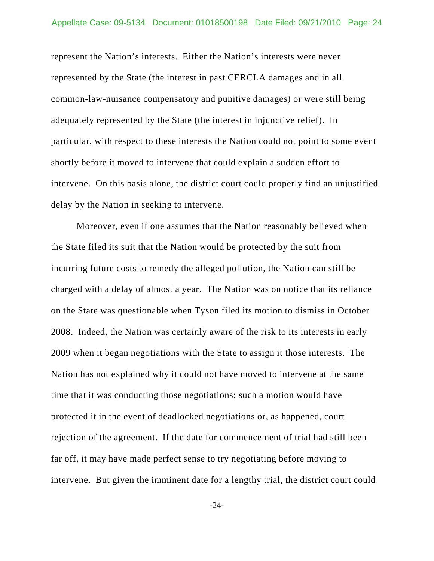represent the Nation's interests. Either the Nation's interests were never represented by the State (the interest in past CERCLA damages and in all common-law-nuisance compensatory and punitive damages) or were still being adequately represented by the State (the interest in injunctive relief). In particular, with respect to these interests the Nation could not point to some event shortly before it moved to intervene that could explain a sudden effort to intervene. On this basis alone, the district court could properly find an unjustified delay by the Nation in seeking to intervene.

Moreover, even if one assumes that the Nation reasonably believed when the State filed its suit that the Nation would be protected by the suit from incurring future costs to remedy the alleged pollution, the Nation can still be charged with a delay of almost a year. The Nation was on notice that its reliance on the State was questionable when Tyson filed its motion to dismiss in October 2008. Indeed, the Nation was certainly aware of the risk to its interests in early 2009 when it began negotiations with the State to assign it those interests. The Nation has not explained why it could not have moved to intervene at the same time that it was conducting those negotiations; such a motion would have protected it in the event of deadlocked negotiations or, as happened, court rejection of the agreement. If the date for commencement of trial had still been far off, it may have made perfect sense to try negotiating before moving to intervene. But given the imminent date for a lengthy trial, the district court could

-24-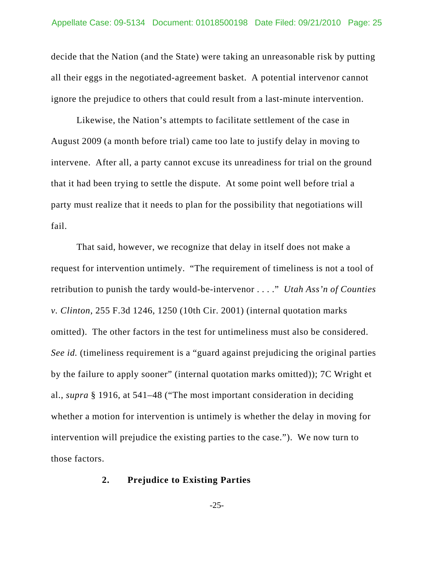decide that the Nation (and the State) were taking an unreasonable risk by putting all their eggs in the negotiated-agreement basket. A potential intervenor cannot ignore the prejudice to others that could result from a last-minute intervention.

Likewise, the Nation's attempts to facilitate settlement of the case in August 2009 (a month before trial) came too late to justify delay in moving to intervene. After all, a party cannot excuse its unreadiness for trial on the ground that it had been trying to settle the dispute. At some point well before trial a party must realize that it needs to plan for the possibility that negotiations will fail.

That said, however, we recognize that delay in itself does not make a request for intervention untimely. "The requirement of timeliness is not a tool of retribution to punish the tardy would-be-intervenor . . . ." *Utah Ass'n of Counties v. Clinton*, 255 F.3d 1246, 1250 (10th Cir. 2001) (internal quotation marks omitted). The other factors in the test for untimeliness must also be considered. *See id.* (timeliness requirement is a "guard against prejudicing the original parties by the failure to apply sooner" (internal quotation marks omitted)); 7C Wright et al., *supra* § 1916, at 541–48 ("The most important consideration in deciding whether a motion for intervention is untimely is whether the delay in moving for intervention will prejudice the existing parties to the case."). We now turn to those factors.

### **2. Prejudice to Existing Parties**

-25-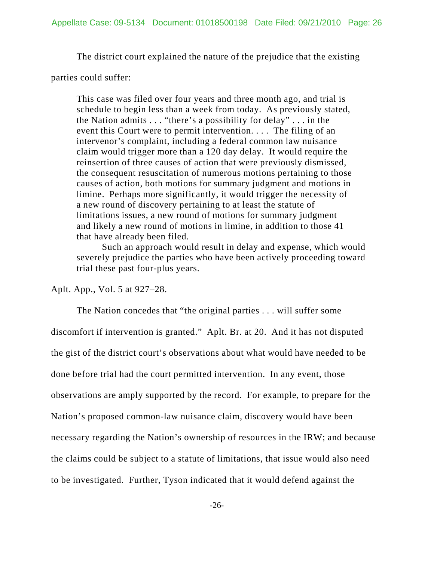The district court explained the nature of the prejudice that the existing

parties could suffer:

This case was filed over four years and three month ago, and trial is schedule to begin less than a week from today. As previously stated, the Nation admits . . . "there's a possibility for delay" . . . in the event this Court were to permit intervention. . . . The filing of an intervenor's complaint, including a federal common law nuisance claim would trigger more than a 120 day delay. It would require the reinsertion of three causes of action that were previously dismissed, the consequent resuscitation of numerous motions pertaining to those causes of action, both motions for summary judgment and motions in limine. Perhaps more significantly, it would trigger the necessity of a new round of discovery pertaining to at least the statute of limitations issues, a new round of motions for summary judgment and likely a new round of motions in limine, in addition to those 41 that have already been filed.

Such an approach would result in delay and expense, which would severely prejudice the parties who have been actively proceeding toward trial these past four-plus years.

Aplt. App., Vol. 5 at 927–28.

The Nation concedes that "the original parties . . . will suffer some discomfort if intervention is granted." Aplt. Br. at 20. And it has not disputed the gist of the district court's observations about what would have needed to be done before trial had the court permitted intervention. In any event, those observations are amply supported by the record. For example, to prepare for the Nation's proposed common-law nuisance claim, discovery would have been necessary regarding the Nation's ownership of resources in the IRW; and because the claims could be subject to a statute of limitations, that issue would also need to be investigated. Further, Tyson indicated that it would defend against the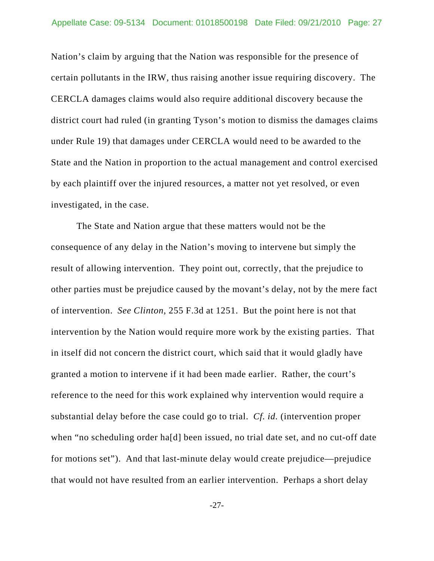Nation's claim by arguing that the Nation was responsible for the presence of certain pollutants in the IRW, thus raising another issue requiring discovery. The CERCLA damages claims would also require additional discovery because the district court had ruled (in granting Tyson's motion to dismiss the damages claims under Rule 19) that damages under CERCLA would need to be awarded to the State and the Nation in proportion to the actual management and control exercised by each plaintiff over the injured resources, a matter not yet resolved, or even investigated, in the case.

The State and Nation argue that these matters would not be the consequence of any delay in the Nation's moving to intervene but simply the result of allowing intervention. They point out, correctly, that the prejudice to other parties must be prejudice caused by the movant's delay, not by the mere fact of intervention. *See Clinton*, 255 F.3d at 1251. But the point here is not that intervention by the Nation would require more work by the existing parties. That in itself did not concern the district court, which said that it would gladly have granted a motion to intervene if it had been made earlier. Rather, the court's reference to the need for this work explained why intervention would require a substantial delay before the case could go to trial. *Cf. id.* (intervention proper when "no scheduling order ha[d] been issued, no trial date set, and no cut-off date for motions set"). And that last-minute delay would create prejudice—prejudice that would not have resulted from an earlier intervention. Perhaps a short delay

-27-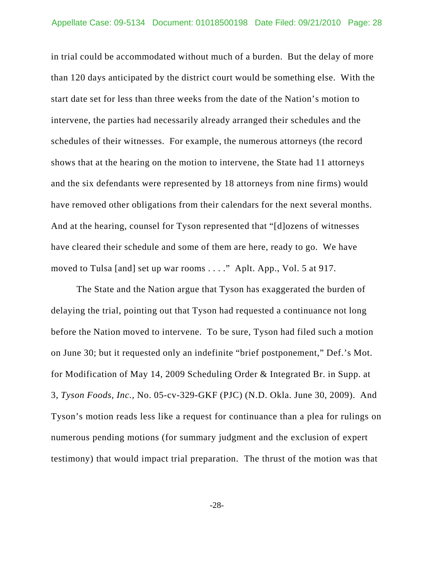in trial could be accommodated without much of a burden. But the delay of more than 120 days anticipated by the district court would be something else. With the start date set for less than three weeks from the date of the Nation's motion to intervene, the parties had necessarily already arranged their schedules and the schedules of their witnesses. For example, the numerous attorneys (the record shows that at the hearing on the motion to intervene, the State had 11 attorneys and the six defendants were represented by 18 attorneys from nine firms) would have removed other obligations from their calendars for the next several months. And at the hearing, counsel for Tyson represented that "[d]ozens of witnesses have cleared their schedule and some of them are here, ready to go. We have moved to Tulsa [and] set up war rooms . . . ." Aplt. App., Vol. 5 at 917.

The State and the Nation argue that Tyson has exaggerated the burden of delaying the trial, pointing out that Tyson had requested a continuance not long before the Nation moved to intervene. To be sure, Tyson had filed such a motion on June 30; but it requested only an indefinite "brief postponement," Def.'s Mot. for Modification of May 14, 2009 Scheduling Order & Integrated Br. in Supp. at 3, *Tyson Foods, Inc.*, No. 05-cv-329-GKF (PJC) (N.D. Okla. June 30, 2009). And Tyson's motion reads less like a request for continuance than a plea for rulings on numerous pending motions (for summary judgment and the exclusion of expert testimony) that would impact trial preparation. The thrust of the motion was that

-28-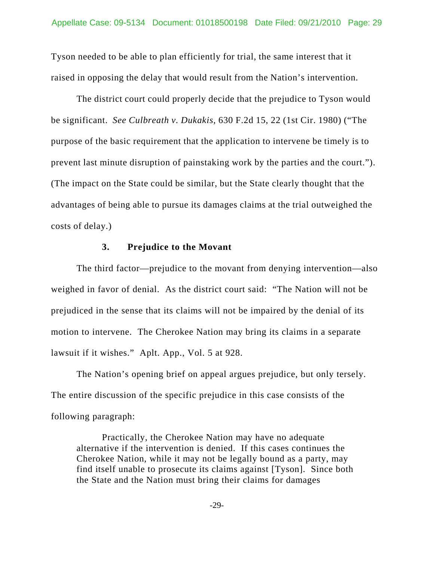Tyson needed to be able to plan efficiently for trial, the same interest that it raised in opposing the delay that would result from the Nation's intervention.

The district court could properly decide that the prejudice to Tyson would be significant. *See Culbreath v. Dukakis*, 630 F.2d 15, 22 (1st Cir. 1980) ("The purpose of the basic requirement that the application to intervene be timely is to prevent last minute disruption of painstaking work by the parties and the court."). (The impact on the State could be similar, but the State clearly thought that the advantages of being able to pursue its damages claims at the trial outweighed the costs of delay.)

### **3. Prejudice to the Movant**

The third factor—prejudice to the movant from denying intervention—also weighed in favor of denial. As the district court said: "The Nation will not be prejudiced in the sense that its claims will not be impaired by the denial of its motion to intervene. The Cherokee Nation may bring its claims in a separate lawsuit if it wishes." Aplt. App., Vol. 5 at 928.

The Nation's opening brief on appeal argues prejudice, but only tersely. The entire discussion of the specific prejudice in this case consists of the following paragraph:

Practically, the Cherokee Nation may have no adequate alternative if the intervention is denied. If this cases continues the Cherokee Nation, while it may not be legally bound as a party, may find itself unable to prosecute its claims against [Tyson]. Since both the State and the Nation must bring their claims for damages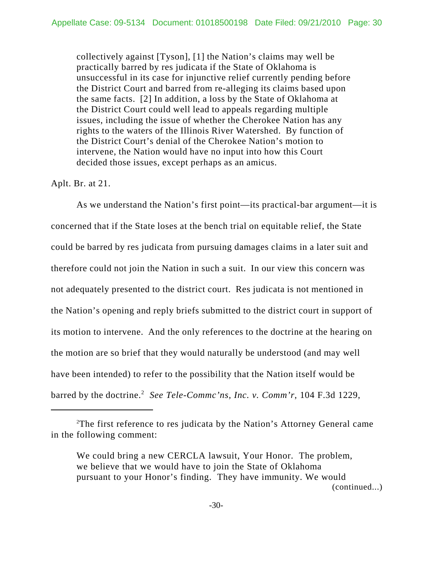collectively against [Tyson], [1] the Nation's claims may well be practically barred by res judicata if the State of Oklahoma is unsuccessful in its case for injunctive relief currently pending before the District Court and barred from re-alleging its claims based upon the same facts. [2] In addition, a loss by the State of Oklahoma at the District Court could well lead to appeals regarding multiple issues, including the issue of whether the Cherokee Nation has any rights to the waters of the Illinois River Watershed. By function of the District Court's denial of the Cherokee Nation's motion to intervene, the Nation would have no input into how this Court decided those issues, except perhaps as an amicus.

### Aplt. Br. at 21.

As we understand the Nation's first point—its practical-bar argument—it is concerned that if the State loses at the bench trial on equitable relief, the State could be barred by res judicata from pursuing damages claims in a later suit and therefore could not join the Nation in such a suit. In our view this concern was not adequately presented to the district court. Res judicata is not mentioned in the Nation's opening and reply briefs submitted to the district court in support of its motion to intervene. And the only references to the doctrine at the hearing on the motion are so brief that they would naturally be understood (and may well have been intended) to refer to the possibility that the Nation itself would be barred by the doctrine.<sup>2</sup> See Tele-Commc'ns, Inc. v. Comm'r, 104 F.3d 1229,

<sup>&</sup>lt;sup>2</sup>The first reference to res judicata by the Nation's Attorney General came in the following comment:

We could bring a new CERCLA lawsuit, Your Honor. The problem, we believe that we would have to join the State of Oklahoma pursuant to your Honor's finding. They have immunity. We would (continued...)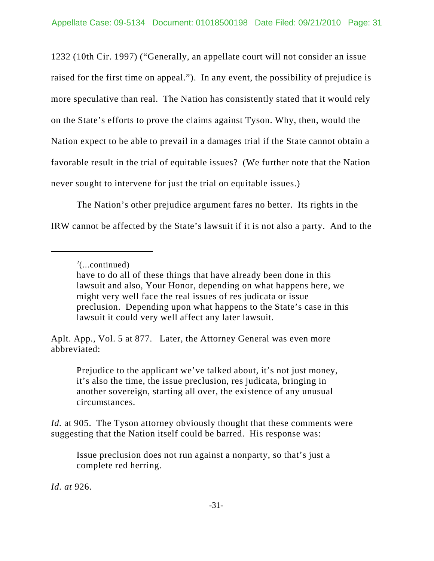1232 (10th Cir. 1997) ("Generally, an appellate court will not consider an issue raised for the first time on appeal."). In any event, the possibility of prejudice is more speculative than real. The Nation has consistently stated that it would rely on the State's efforts to prove the claims against Tyson. Why, then, would the Nation expect to be able to prevail in a damages trial if the State cannot obtain a favorable result in the trial of equitable issues? (We further note that the Nation never sought to intervene for just the trial on equitable issues.)

The Nation's other prejudice argument fares no better. Its rights in the IRW cannot be affected by the State's lawsuit if it is not also a party. And to the

Aplt. App., Vol. 5 at 877. Later, the Attorney General was even more abbreviated:

Prejudice to the applicant we've talked about, it's not just money, it's also the time, the issue preclusion, res judicata, bringing in another sovereign, starting all over, the existence of any unusual circumstances.

*Id.* at 905. The Tyson attorney obviously thought that these comments were suggesting that the Nation itself could be barred. His response was:

Issue preclusion does not run against a nonparty, so that's just a complete red herring.

*Id. at* 926.

 $2^2$ (...continued)

have to do all of these things that have already been done in this lawsuit and also, Your Honor, depending on what happens here, we might very well face the real issues of res judicata or issue preclusion. Depending upon what happens to the State's case in this lawsuit it could very well affect any later lawsuit.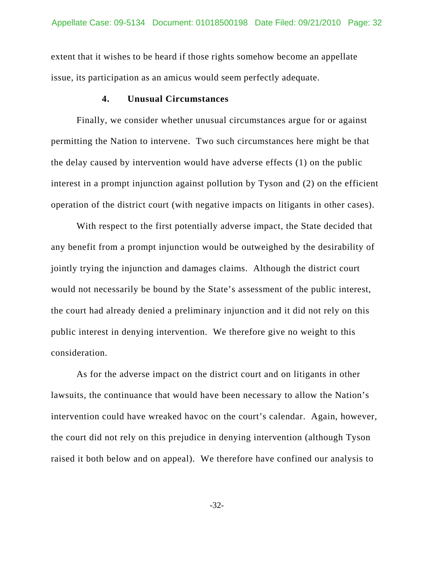extent that it wishes to be heard if those rights somehow become an appellate issue, its participation as an amicus would seem perfectly adequate.

### **4. Unusual Circumstances**

Finally, we consider whether unusual circumstances argue for or against permitting the Nation to intervene. Two such circumstances here might be that the delay caused by intervention would have adverse effects (1) on the public interest in a prompt injunction against pollution by Tyson and (2) on the efficient operation of the district court (with negative impacts on litigants in other cases).

With respect to the first potentially adverse impact, the State decided that any benefit from a prompt injunction would be outweighed by the desirability of jointly trying the injunction and damages claims. Although the district court would not necessarily be bound by the State's assessment of the public interest, the court had already denied a preliminary injunction and it did not rely on this public interest in denying intervention. We therefore give no weight to this consideration.

As for the adverse impact on the district court and on litigants in other lawsuits, the continuance that would have been necessary to allow the Nation's intervention could have wreaked havoc on the court's calendar. Again, however, the court did not rely on this prejudice in denying intervention (although Tyson raised it both below and on appeal). We therefore have confined our analysis to

-32-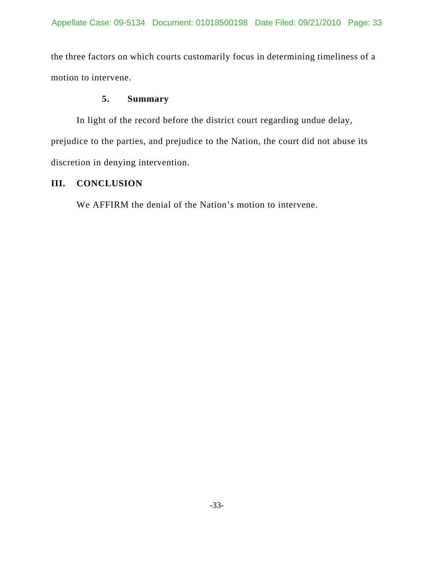the three factors on which courts customarily focus in determining timeliness of a motion to intervene.

# **5. Summary**

In light of the record before the district court regarding undue delay, prejudice to the parties, and prejudice to the Nation, the court did not abuse its discretion in denying intervention.

# **III. CONCLUSION**

We AFFIRM the denial of the Nation's motion to intervene.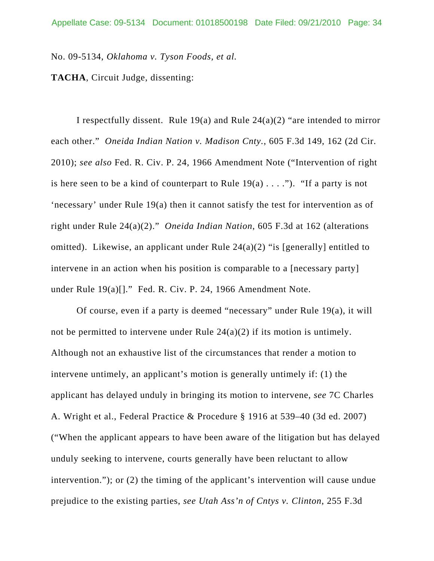No. 09-5134, *Oklahoma v. Tyson Foods, et al.*

**TACHA**, Circuit Judge, dissenting:

I respectfully dissent. Rule 19(a) and Rule  $24(a)(2)$  "are intended to mirror each other." *Oneida Indian Nation v. Madison Cnty.*, 605 F.3d 149, 162 (2d Cir. 2010); *see also* Fed. R. Civ. P. 24, 1966 Amendment Note ("Intervention of right is here seen to be a kind of counterpart to Rule  $19(a) \ldots$ "). "If a party is not 'necessary' under Rule 19(a) then it cannot satisfy the test for intervention as of right under Rule 24(a)(2)." *Oneida Indian Nation*, 605 F.3d at 162 (alterations omitted). Likewise, an applicant under Rule  $24(a)(2)$  "is [generally] entitled to intervene in an action when his position is comparable to a [necessary party] under Rule 19(a)[]." Fed. R. Civ. P. 24, 1966 Amendment Note.

Of course, even if a party is deemed "necessary" under Rule 19(a), it will not be permitted to intervene under Rule 24(a)(2) if its motion is untimely. Although not an exhaustive list of the circumstances that render a motion to intervene untimely, an applicant's motion is generally untimely if: (1) the applicant has delayed unduly in bringing its motion to intervene, *see* 7C Charles A. Wright et al., Federal Practice & Procedure § 1916 at 539–40 (3d ed. 2007) ("When the applicant appears to have been aware of the litigation but has delayed unduly seeking to intervene, courts generally have been reluctant to allow intervention."); or (2) the timing of the applicant's intervention will cause undue prejudice to the existing parties, *see Utah Ass'n of Cntys v. Clinton*, 255 F.3d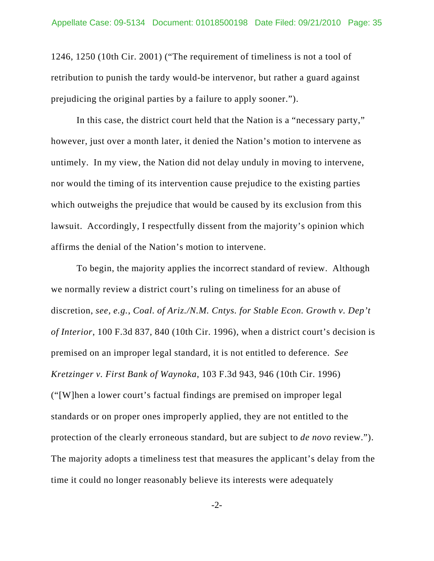1246, 1250 (10th Cir. 2001) ("The requirement of timeliness is not a tool of retribution to punish the tardy would-be intervenor, but rather a guard against prejudicing the original parties by a failure to apply sooner.").

In this case, the district court held that the Nation is a "necessary party," however, just over a month later, it denied the Nation's motion to intervene as untimely. In my view, the Nation did not delay unduly in moving to intervene, nor would the timing of its intervention cause prejudice to the existing parties which outweighs the prejudice that would be caused by its exclusion from this lawsuit. Accordingly, I respectfully dissent from the majority's opinion which affirms the denial of the Nation's motion to intervene.

To begin, the majority applies the incorrect standard of review. Although we normally review a district court's ruling on timeliness for an abuse of discretion, *see, e.g.*, *Coal. of Ariz./N.M. Cntys. for Stable Econ. Growth v. Dep't of Interior*, 100 F.3d 837, 840 (10th Cir. 1996), when a district court's decision is premised on an improper legal standard, it is not entitled to deference. *See Kretzinger v. First Bank of Waynoka*, 103 F.3d 943, 946 (10th Cir. 1996) ("[W]hen a lower court's factual findings are premised on improper legal standards or on proper ones improperly applied, they are not entitled to the protection of the clearly erroneous standard, but are subject to *de novo* review."). The majority adopts a timeliness test that measures the applicant's delay from the time it could no longer reasonably believe its interests were adequately

-2-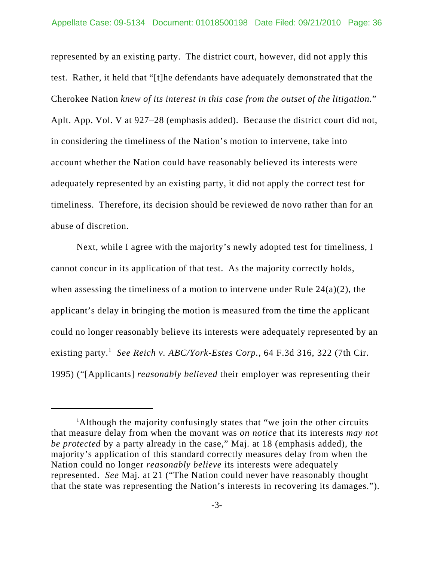represented by an existing party. The district court, however, did not apply this test. Rather, it held that "[t]he defendants have adequately demonstrated that the Cherokee Nation *knew of its interest in this case from the outset of the litigation.*" Aplt. App. Vol. V at 927–28 (emphasis added). Because the district court did not, in considering the timeliness of the Nation's motion to intervene, take into account whether the Nation could have reasonably believed its interests were adequately represented by an existing party, it did not apply the correct test for timeliness. Therefore, its decision should be reviewed de novo rather than for an abuse of discretion.

Next, while I agree with the majority's newly adopted test for timeliness, I cannot concur in its application of that test. As the majority correctly holds, when assessing the timeliness of a motion to intervene under Rule  $24(a)(2)$ , the applicant's delay in bringing the motion is measured from the time the applicant could no longer reasonably believe its interests were adequately represented by an existing party.<sup>1</sup> See Reich v. ABC/York-Estes Corp., 64 F.3d 316, 322 (7th Cir. 1995) ("[Applicants] *reasonably believed* their employer was representing their

<sup>&</sup>lt;sup>1</sup>Although the majority confusingly states that "we join the other circuits that measure delay from when the movant was *on notice* that its interests *may not be protected* by a party already in the case," Maj. at 18 (emphasis added), the majority's application of this standard correctly measures delay from when the Nation could no longer *reasonably believe* its interests were adequately represented. *See* Maj. at 21 ("The Nation could never have reasonably thought that the state was representing the Nation's interests in recovering its damages.").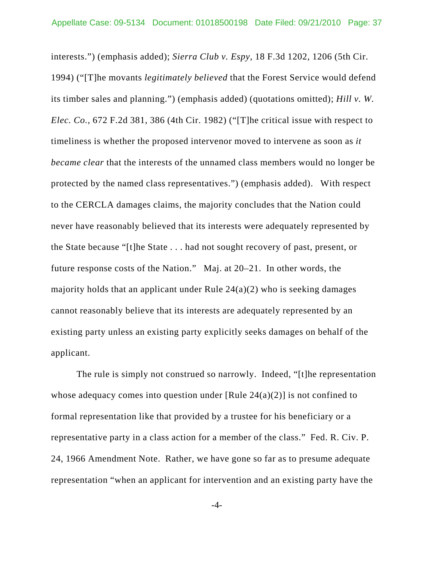interests.") (emphasis added); *Sierra Club v. Espy*, 18 F.3d 1202, 1206 (5th Cir. 1994) ("[T]he movants *legitimately believed* that the Forest Service would defend its timber sales and planning.") (emphasis added) (quotations omitted); *Hill v. W. Elec. Co.*, 672 F.2d 381, 386 (4th Cir. 1982) ("[T]he critical issue with respect to timeliness is whether the proposed intervenor moved to intervene as soon as *it became clear* that the interests of the unnamed class members would no longer be protected by the named class representatives.") (emphasis added). With respect to the CERCLA damages claims, the majority concludes that the Nation could never have reasonably believed that its interests were adequately represented by the State because "[t]he State . . . had not sought recovery of past, present, or future response costs of the Nation." Maj. at 20–21. In other words, the majority holds that an applicant under Rule  $24(a)(2)$  who is seeking damages cannot reasonably believe that its interests are adequately represented by an existing party unless an existing party explicitly seeks damages on behalf of the applicant.

The rule is simply not construed so narrowly. Indeed, "[t]he representation whose adequacy comes into question under [Rule  $24(a)(2)$ ] is not confined to formal representation like that provided by a trustee for his beneficiary or a representative party in a class action for a member of the class." Fed. R. Civ. P. 24, 1966 Amendment Note. Rather, we have gone so far as to presume adequate representation "when an applicant for intervention and an existing party have the

-4-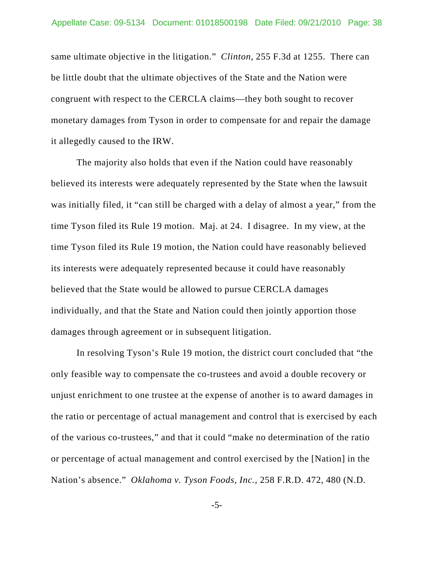same ultimate objective in the litigation." *Clinton*, 255 F.3d at 1255. There can be little doubt that the ultimate objectives of the State and the Nation were congruent with respect to the CERCLA claims—they both sought to recover monetary damages from Tyson in order to compensate for and repair the damage it allegedly caused to the IRW.

The majority also holds that even if the Nation could have reasonably believed its interests were adequately represented by the State when the lawsuit was initially filed, it "can still be charged with a delay of almost a year," from the time Tyson filed its Rule 19 motion. Maj. at 24. I disagree. In my view, at the time Tyson filed its Rule 19 motion, the Nation could have reasonably believed its interests were adequately represented because it could have reasonably believed that the State would be allowed to pursue CERCLA damages individually, and that the State and Nation could then jointly apportion those damages through agreement or in subsequent litigation.

In resolving Tyson's Rule 19 motion, the district court concluded that "the only feasible way to compensate the co-trustees and avoid a double recovery or unjust enrichment to one trustee at the expense of another is to award damages in the ratio or percentage of actual management and control that is exercised by each of the various co-trustees," and that it could "make no determination of the ratio or percentage of actual management and control exercised by the [Nation] in the Nation's absence." *Oklahoma v. Tyson Foods, Inc.*, 258 F.R.D. 472, 480 (N.D.

-5-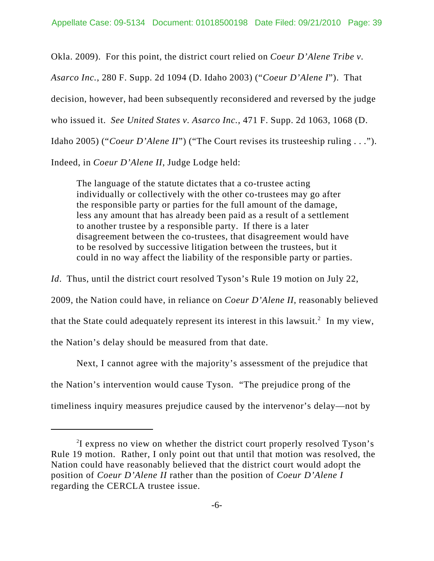Okla. 2009). For this point, the district court relied on *Coeur D'Alene Tribe v.*

*Asarco Inc.*, 280 F. Supp. 2d 1094 (D. Idaho 2003) ("*Coeur D'Alene I*"). That

decision, however, had been subsequently reconsidered and reversed by the judge

who issued it. *See United States v. Asarco Inc.*, 471 F. Supp. 2d 1063, 1068 (D.

Idaho 2005) ("*Coeur D'Alene II*") ("The Court revises its trusteeship ruling . . .").

Indeed, in *Coeur D'Alene II*, Judge Lodge held:

The language of the statute dictates that a co-trustee acting individually or collectively with the other co-trustees may go after the responsible party or parties for the full amount of the damage, less any amount that has already been paid as a result of a settlement to another trustee by a responsible party. If there is a later disagreement between the co-trustees, that disagreement would have to be resolved by successive litigation between the trustees, but it could in no way affect the liability of the responsible party or parties.

*Id*. Thus, until the district court resolved Tyson's Rule 19 motion on July 22,

2009, the Nation could have, in reliance on *Coeur D'Alene II*, reasonably believed

that the State could adequately represent its interest in this lawsuit.<sup>2</sup> In my view,

the Nation's delay should be measured from that date.

Next, I cannot agree with the majority's assessment of the prejudice that the Nation's intervention would cause Tyson. "The prejudice prong of the

timeliness inquiry measures prejudice caused by the intervenor's delay—not by

<sup>&</sup>lt;sup>2</sup>I express no view on whether the district court properly resolved Tyson's Rule 19 motion. Rather, I only point out that until that motion was resolved, the Nation could have reasonably believed that the district court would adopt the position of *Coeur D'Alene II* rather than the position of *Coeur D'Alene I* regarding the CERCLA trustee issue.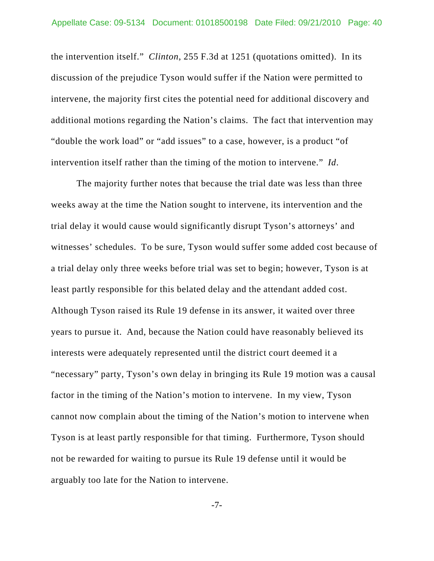the intervention itself." *Clinton*, 255 F.3d at 1251 (quotations omitted). In its discussion of the prejudice Tyson would suffer if the Nation were permitted to intervene, the majority first cites the potential need for additional discovery and additional motions regarding the Nation's claims. The fact that intervention may "double the work load" or "add issues" to a case, however, is a product "of intervention itself rather than the timing of the motion to intervene." *Id*.

The majority further notes that because the trial date was less than three weeks away at the time the Nation sought to intervene, its intervention and the trial delay it would cause would significantly disrupt Tyson's attorneys' and witnesses' schedules. To be sure, Tyson would suffer some added cost because of a trial delay only three weeks before trial was set to begin; however, Tyson is at least partly responsible for this belated delay and the attendant added cost. Although Tyson raised its Rule 19 defense in its answer, it waited over three years to pursue it. And, because the Nation could have reasonably believed its interests were adequately represented until the district court deemed it a "necessary" party, Tyson's own delay in bringing its Rule 19 motion was a causal factor in the timing of the Nation's motion to intervene. In my view, Tyson cannot now complain about the timing of the Nation's motion to intervene when Tyson is at least partly responsible for that timing. Furthermore, Tyson should not be rewarded for waiting to pursue its Rule 19 defense until it would be arguably too late for the Nation to intervene.

-7-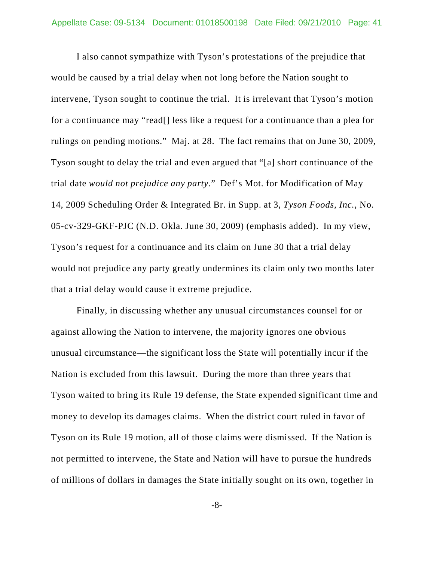I also cannot sympathize with Tyson's protestations of the prejudice that would be caused by a trial delay when not long before the Nation sought to intervene, Tyson sought to continue the trial. It is irrelevant that Tyson's motion for a continuance may "read[] less like a request for a continuance than a plea for rulings on pending motions." Maj. at 28. The fact remains that on June 30, 2009, Tyson sought to delay the trial and even argued that "[a] short continuance of the trial date *would not prejudice any party*." Def's Mot. for Modification of May 14, 2009 Scheduling Order & Integrated Br. in Supp. at 3, *Tyson Foods, Inc.*, No. 05-cv-329-GKF-PJC (N.D. Okla. June 30, 2009) (emphasis added). In my view, Tyson's request for a continuance and its claim on June 30 that a trial delay would not prejudice any party greatly undermines its claim only two months later that a trial delay would cause it extreme prejudice.

Finally, in discussing whether any unusual circumstances counsel for or against allowing the Nation to intervene, the majority ignores one obvious unusual circumstance—the significant loss the State will potentially incur if the Nation is excluded from this lawsuit. During the more than three years that Tyson waited to bring its Rule 19 defense, the State expended significant time and money to develop its damages claims. When the district court ruled in favor of Tyson on its Rule 19 motion, all of those claims were dismissed. If the Nation is not permitted to intervene, the State and Nation will have to pursue the hundreds of millions of dollars in damages the State initially sought on its own, together in

-8-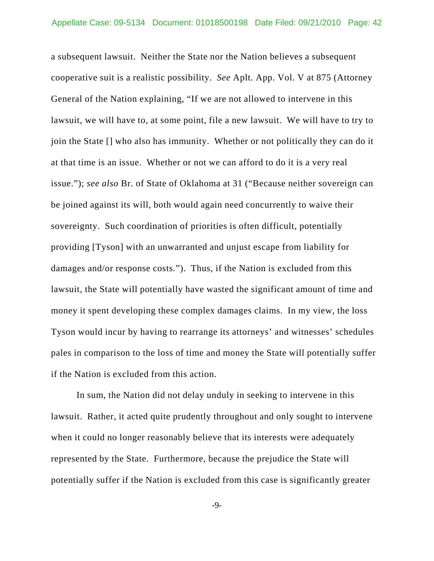a subsequent lawsuit. Neither the State nor the Nation believes a subsequent cooperative suit is a realistic possibility. *See* Aplt. App. Vol. V at 875 (Attorney General of the Nation explaining, "If we are not allowed to intervene in this lawsuit, we will have to, at some point, file a new lawsuit. We will have to try to join the State [] who also has immunity. Whether or not politically they can do it at that time is an issue. Whether or not we can afford to do it is a very real issue."); *see also* Br. of State of Oklahoma at 31 ("Because neither sovereign can be joined against its will, both would again need concurrently to waive their sovereignty. Such coordination of priorities is often difficult, potentially providing [Tyson] with an unwarranted and unjust escape from liability for damages and/or response costs."). Thus, if the Nation is excluded from this lawsuit, the State will potentially have wasted the significant amount of time and money it spent developing these complex damages claims. In my view, the loss Tyson would incur by having to rearrange its attorneys' and witnesses' schedules pales in comparison to the loss of time and money the State will potentially suffer if the Nation is excluded from this action.

In sum, the Nation did not delay unduly in seeking to intervene in this lawsuit. Rather, it acted quite prudently throughout and only sought to intervene when it could no longer reasonably believe that its interests were adequately represented by the State. Furthermore, because the prejudice the State will potentially suffer if the Nation is excluded from this case is significantly greater

-9-